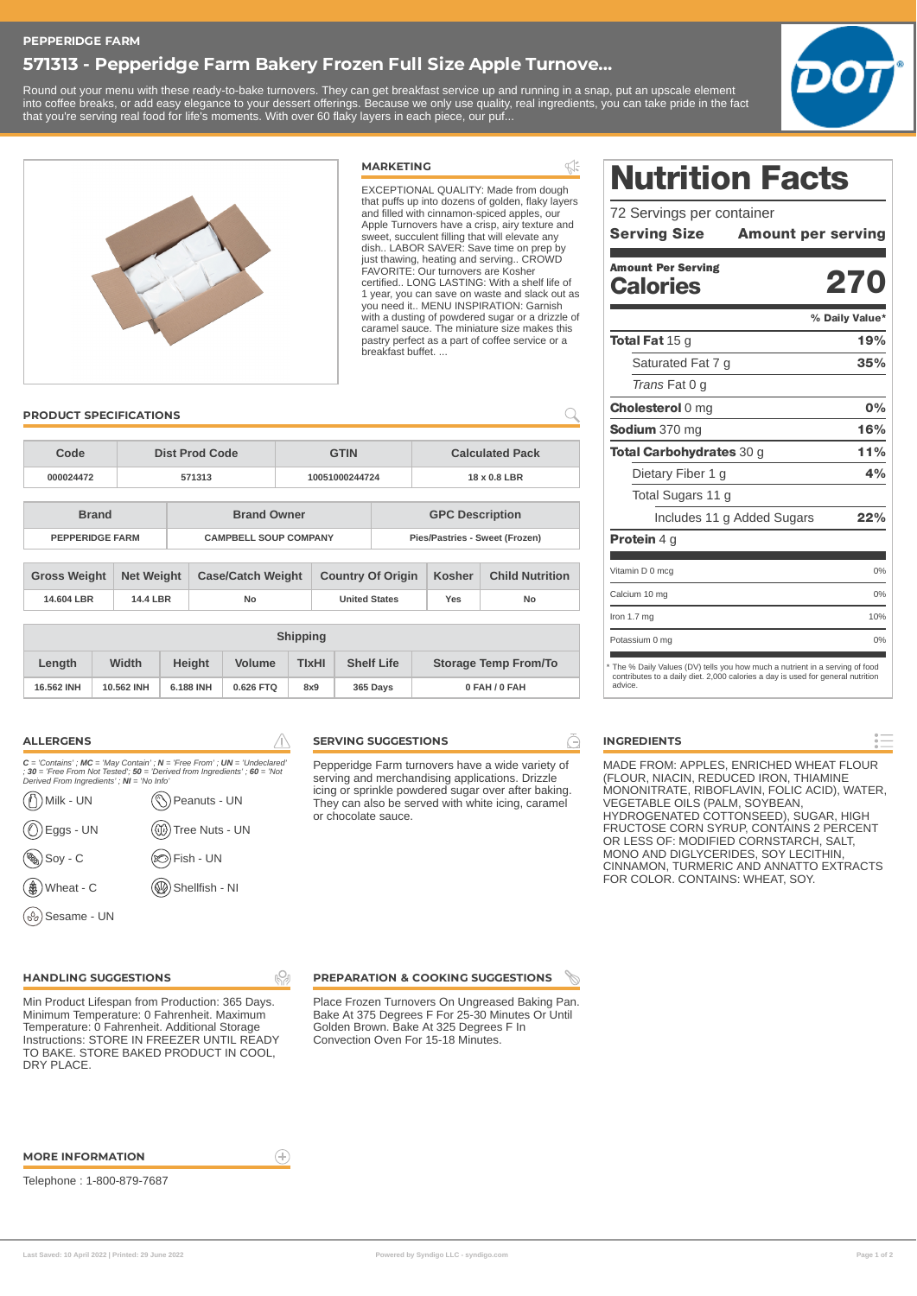# **571313 - Pepperidge Farm Bakery Frozen Full Size Apple Turnove...**

Round out your menu with these ready-to-bake turnovers. They can get breakfast service up and running in a snap, put an upscale element into coffee breaks, or add easy elegance to your dessert offerings. Because we only use quality, real ingredients, you can take pride in the fact that you're serving real food for life's moments. With over 60 flaky layers in each piece, our puf...

**MARKETING**





 $\leq$ EXCEPTIONAL QUALITY: Made from dough that puffs up into dozens of golden, flaky layers and filled with cinnamon-spiced apples, our Apple Turnovers have a crisp, airy texture and sweet, succulent filling that will elevate any dish.. LABOR SAVER: Save time on prep by just thawing, heating and serving.. CROWD FAVORITE: Our turnovers are Kosher certified.. LONG LASTING: With a shelf life of 1 year, you can save on waste and slack out as you need it.. MENU INSPIRATION: Garnish with a dusting of powdered sugar or a drizzle of caramel sauce. The miniature size makes this pastry perfect as a part of coffee service or a breakfast buffet. ...

 $\overline{Q}$ 

## **PRODUCT SPECIFICATIONS**

| Code<br>Dist Prod Code |                     |                   |                              | <b>GTIN</b>              |                | <b>Calculated Pack</b>         |                        |               |                        |
|------------------------|---------------------|-------------------|------------------------------|--------------------------|----------------|--------------------------------|------------------------|---------------|------------------------|
|                        | 000024472           | 571313            |                              |                          | 10051000244724 |                                | 18 x 0.8 LBR           |               |                        |
|                        |                     |                   |                              |                          |                |                                |                        |               |                        |
| <b>Brand</b>           |                     |                   |                              | <b>Brand Owner</b>       |                |                                | <b>GPC Description</b> |               |                        |
| <b>PEPPERIDGE FARM</b> |                     |                   | <b>CAMPBELL SOUP COMPANY</b> |                          |                | Pies/Pastries - Sweet (Frozen) |                        |               |                        |
|                        |                     |                   |                              |                          |                |                                |                        |               |                        |
|                        | <b>Gross Weight</b> | <b>Net Weight</b> |                              | <b>Case/Catch Weight</b> |                | <b>Country Of Origin</b>       |                        | <b>Kosher</b> | <b>Child Nutrition</b> |
|                        | 14,604 LBR          | 14.4 LBR          |                              | No                       |                | <b>United States</b>           |                        | Yes           | No                     |

|            | <b>Shipping</b>        |           |               |                                   |          |                             |  |  |
|------------|------------------------|-----------|---------------|-----------------------------------|----------|-----------------------------|--|--|
| Length     | Width<br><b>Height</b> |           | <b>Volume</b> | <b>Shelf Life</b><br><b>TIXHI</b> |          | <b>Storage Temp From/To</b> |  |  |
| 16,562 INH | 10.562 INH             | 6.188 INH | 0.626 FTO     | 8x9                               | 365 Days | 0 FAH / 0 FAH               |  |  |

ı.Qı

 $\bigoplus$ 

| <b>ALLERGENS</b>                                                       |                                                                                                                                                                |
|------------------------------------------------------------------------|----------------------------------------------------------------------------------------------------------------------------------------------------------------|
| Derived From Ingredients' ; NI = 'No Info'                             | $C$ = 'Contains' ; MC = 'May Contain' ; N = 'Free From' ; UN = 'Undeclared'<br>$: 30 =$ 'Free From Not Tested'; $50 =$ 'Derived from Ingredients'; $60 =$ 'Not |
| Milk - UN<br>(ř                                                        | Peanuts - UN                                                                                                                                                   |
| ))Eggs - UN<br>((^                                                     | (1) Tree Nuts - UN                                                                                                                                             |
| (%<br>Soy - C                                                          | ⊗)Fish - UN                                                                                                                                                    |
| $\left(\begin{smallmatrix}\bigoplus\end{smallmatrix}\right)$ Wheat - C |                                                                                                                                                                |

## **SERVING SUGGESTIONS**

Pepperidge Farm turnovers have a wide variety of serving and merchandising applications. Drizzle icing or sprinkle powdered sugar over after baking. They can also be served with white icing, caramel or chocolate sauce.

# Nutrition Facts

| 72 Servings per container |                                        |  |
|---------------------------|----------------------------------------|--|
|                           | <b>Serving Size Amount per serving</b> |  |
|                           |                                        |  |
| <b>Amount Per Serving</b> |                                        |  |
| <b>Calories</b>           | 270                                    |  |

#### 270 19% 35% 0% 16% 11% 4% 22% % Daily Value\* Total Fat 15 g Saturated Fat 7 g *Trans* Fat 0 g Cholesterol 0 mg Sodium 370 mg Total Carbohydrates 30 g Dietary Fiber 1 g Total Sugars 11 g Includes 11 g Added Sugars

| <b>Protein 4 g</b>                                                                                                                                                                                                                                                                                             |     |
|----------------------------------------------------------------------------------------------------------------------------------------------------------------------------------------------------------------------------------------------------------------------------------------------------------------|-----|
|                                                                                                                                                                                                                                                                                                                |     |
| Vitamin D 0 mcg                                                                                                                                                                                                                                                                                                | 0%  |
| Calcium 10 mg                                                                                                                                                                                                                                                                                                  | 0%  |
| Iron $1.7$ mg                                                                                                                                                                                                                                                                                                  | 10% |
| Potassium 0 mg                                                                                                                                                                                                                                                                                                 | 0%  |
| * The % Daily Values (DV) tells you how much a nutrient in a serving of food<br>and a set of the second state in the set of the second control of the second second second second second second second second second second second second second second second second second second second second second secon |     |

contributes to a daily diet. 2,000 calories a day is used for general nutrition advice.

# **INGREDIENTS**

MADE FROM: APPLES, ENRICHED WHEAT FLOUR (FLOUR, NIACIN, REDUCED IRON, THIAMINE MONONITRATE, RIBOFLAVIN, FOLIC ACID), WATER, VEGETABLE OILS (PALM, SOYBEAN, HYDROGENATED COTTONSEED), SUGAR, HIGH FRUCTOSE CORN SYRUP, CONTAINS 2 PERCENT OR LESS OF: MODIFIED CORNSTARCH, SALT, MONO AND DIGLYCERIDES, SOY LECITHIN, CINNAMON, TURMERIC AND ANNATTO EXTRACTS FOR COLOR. CONTAINS: WHEAT, SOY.

## **HANDLING SUGGESTIONS**

Sesame - UN

Min Product Lifespan from Production: 365 Days. Minimum Temperature: 0 Fahrenheit. Maximum Temperature: 0 Fahrenheit. Additional Storage Instructions: STORE IN FREEZER UNTIL READY TO BAKE. STORE BAKED PRODUCT IN COOL, DRY PLACE.

#### **PREPARATION & COOKING SUGGESTIONS**

Place Frozen Turnovers On Ungreased Baking Pan. Bake At 375 Degrees F For 25-30 Minutes Or Until Golden Brown. Bake At 325 Degrees F In Convection Oven For 15-18 Minutes.

#### **MORE INFORMATION**

Telephone : 1-800-879-7687